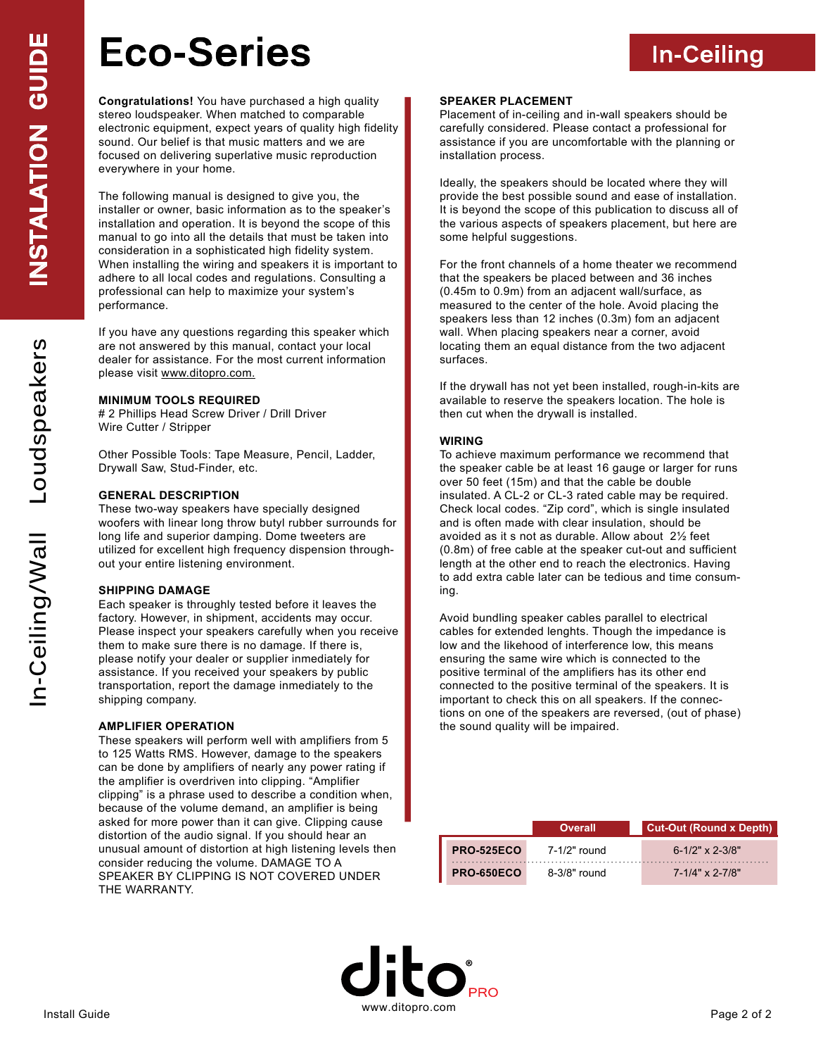# **Eco-Series**

**In-Ceiling**

**Congratulations!** You have purchased a high quality stereo loudspeaker. When matched to comparable electronic equipment, expect years of quality high fidelity sound. Our belief is that music matters and we are focused on delivering superlative music reproduction everywhere in your home.

The following manual is designed to give you, the installer or owner, basic information as to the speaker's installation and operation. It is beyond the scope of this manual to go into all the details that must be taken into consideration in a sophisticated high fidelity system. When installing the wiring and speakers it is important to adhere to all local codes and regulations. Consulting a professional can help to maximize your system's performance.

If you have any questions regarding this speaker which are not answered by this manual, contact your local dealer for assistance. For the most current information please visit www.ditopro.com.

# **MINIMUM TOOLS REQUIRED**

# 2 Phillips Head Screw Driver / Drill Driver Wire Cutter / Stripper

Other Possible Tools: Tape Measure, Pencil, Ladder, Drywall Saw, Stud-Finder, etc.

# **GENERAL DESCRIPTION**

These two-way speakers have specially designed woofers with linear long throw butyl rubber surrounds for long life and superior damping. Dome tweeters are utilized for excellent high frequency dispension throughout your entire listening environment.

#### **SHIPPING DAMAGE**

Each speaker is throughly tested before it leaves the factory. However, in shipment, accidents may occur. Please inspect your speakers carefully when you receive them to make sure there is no damage. If there is, please notify your dealer or supplier inmediately for assistance. If you received your speakers by public transportation, report the damage inmediately to the shipping company.

#### **AMPLIFIER OPERATION**

These speakers will perform well with amplifiers from 5 to 125 Watts RMS. However, damage to the speakers can be done by amplifiers of nearly any power rating if the amplifier is overdriven into clipping. "Amplifier clipping" is a phrase used to describe a condition when, because of the volume demand, an amplifier is being asked for more power than it can give. Clipping cause distortion of the audio signal. If you should hear an unusual amount of distortion at high listening levels then consider reducing the volume. DAMAGE TO A SPEAKER BY CLIPPING IS NOT COVERED UNDER THE WARRANTY.

#### **SPEAKER PLACEMENT**

Placement of in-ceiling and in-wall speakers should be carefully considered. Please contact a professional for assistance if you are uncomfortable with the planning or installation process.

Ideally, the speakers should be located where they will provide the best possible sound and ease of installation. It is beyond the scope of this publication to discuss all of the various aspects of speakers placement, but here are some helpful suggestions.

For the front channels of a home theater we recommend that the speakers be placed between and 36 inches (0.45m to 0.9m) from an adjacent wall/surface, as measured to the center of the hole. Avoid placing the speakers less than 12 inches (0.3m) fom an adjacent wall. When placing speakers near a corner, avoid locating them an equal distance from the two adjacent surfaces.

If the drywall has not yet been installed, rough-in-kits are available to reserve the speakers location. The hole is then cut when the drywall is installed.

# **WIRING**

To achieve maximum performance we recommend that the speaker cable be at least 16 gauge or larger for runs over 50 feet (15m) and that the cable be double insulated. A CL-2 or CL-3 rated cable may be required. Check local codes. "Zip cord", which is single insulated and is often made with clear insulation, should be avoided as it s not as durable. Allow about 2½ feet (0.8m) of free cable at the speaker cut-out and sufficient length at the other end to reach the electronics. Having to add extra cable later can be tedious and time consuming.

Avoid bundling speaker cables parallel to electrical cables for extended lenghts. Though the impedance is low and the likehood of interference low, this means ensuring the same wire which is connected to the positive terminal of the amplifiers has its other end connected to the positive terminal of the speakers. It is important to check this on all speakers. If the connections on one of the speakers are reversed, (out of phase) the sound quality will be impaired.

|                   | <b>Overall</b> | Cut-Out (Round x Depth) |
|-------------------|----------------|-------------------------|
| <b>PRO-525ECO</b> | 7-1/2" round   | $6 - 1/2$ " x 2-3/8"    |
| <b>PRO-650ECO</b> | $8-3/8"$ round | $7 - 1/4$ " x 2-7/8"    |